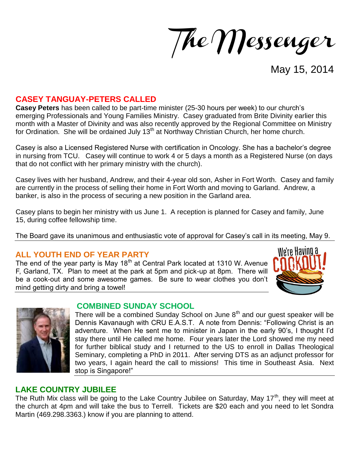The Messenger

May 15, 2014

## **CASEY TANGUAY-PETERS CALLED**

**Casey Peters** has been called to be part-time minister (25-30 hours per week) to our church's emerging Professionals and Young Families Ministry. Casey graduated from Brite Divinity earlier this month with a Master of Divinity and was also recently approved by the Regional Committee on Ministry for Ordination. She will be ordained July 13<sup>th</sup> at Northway Christian Church, her home church.

Casey is also a Licensed Registered Nurse with certification in Oncology. She has a bachelor's degree in nursing from TCU. Casey will continue to work 4 or 5 days a month as a Registered Nurse (on days that do not conflict with her primary ministry with the church).

Casey lives with her husband, Andrew, and their 4-year old son, Asher in Fort Worth. Casey and family are currently in the process of selling their home in Fort Worth and moving to Garland. Andrew, a banker, is also in the process of securing a new position in the Garland area.

Casey plans to begin her ministry with us June 1. A reception is planned for Casey and family, June 15, during coffee fellowship time.

The Board gave its unanimous and enthusiastic vote of approval for Casey's call in its meeting, May 9.

#### **ALL YOUTH END OF YEAR PARTY**

The end of the year party is May 18<sup>th</sup> at Central Park located at 1310 W. Avenue F, Garland, TX. Plan to meet at the park at 5pm and pick-up at 8pm. There will be a cook-out and some awesome games. Be sure to wear clothes you don't mind getting dirty and bring a towel!





#### **COMBINED SUNDAY SCHOOL**

There will be a combined Sunday School on June  $8<sup>th</sup>$  and our guest speaker will be Dennis Kavanaugh with CRU E.A.S.T. A note from Dennis: "Following Christ is an adventure. When He sent me to minister in Japan in the early 90's, I thought I'd stay there until He called me home. Four years later the Lord showed me my need for further biblical study and I returned to the US to enroll in Dallas Theological Seminary, completing a PhD in 2011. After serving DTS as an adjunct professor for two years, I again heard the call to missions! This time in Southeast Asia. Next stop is Singapore!"

## **LAKE COUNTRY JUBILEE**

The Ruth Mix class will be going to the Lake Country Jubilee on Saturday, May  $17<sup>th</sup>$ , they will meet at the church at 4pm and will take the bus to Terrell. Tickets are \$20 each and you need to let Sondra Martin (469.298.3363.) know if you are planning to attend.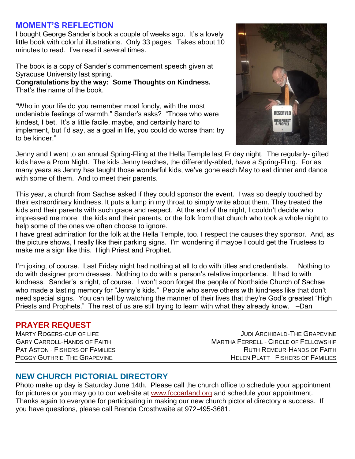## **MOMENT'S REFLECTION**

I bought George Sander's book a couple of weeks ago. It's a lovely little book with colorful illustrations. Only 33 pages. Takes about 10 minutes to read. I've read it several times.

The book is a copy of Sander's commencement speech given at Syracuse University last spring.

**Congratulations by the way: Some Thoughts on Kindness.**  That's the name of the book.

"Who in your life do you remember most fondly, with the most undeniable feelings of warmth," Sander's asks? "Those who were kindest, I bet. It's a little facile, maybe, and certainly hard to implement, but I'd say, as a goal in life, you could do worse than: try to be kinder."



Jenny and I went to an annual Spring-Fling at the Hella Temple last Friday night. The regularly- gifted kids have a Prom Night. The kids Jenny teaches, the differently-abled, have a Spring-Fling. For as many years as Jenny has taught those wonderful kids, we've gone each May to eat dinner and dance with some of them. And to meet their parents.

This year, a church from Sachse asked if they could sponsor the event. I was so deeply touched by their extraordinary kindness. It puts a lump in my throat to simply write about them. They treated the kids and their parents with such grace and respect. At the end of the night, I couldn't decide who impressed me more: the kids and their parents, or the folk from that church who took a whole night to help some of the ones we often choose to ignore.

I have great admiration for the folk at the Hella Temple, too. I respect the causes they sponsor. And, as the picture shows, I really like their parking signs. I'm wondering if maybe I could get the Trustees to make me a sign like this. High Priest and Prophet.

I'm joking, of course. Last Friday night had nothing at all to do with titles and credentials. Nothing to do with designer prom dresses. Nothing to do with a person's relative importance. It had to with kindness. Sander's is right, of course. I won't soon forget the people of Northside Church of Sachse who made a lasting memory for "Jenny's kids." People who serve others with kindness like that don't need special signs. You can tell by watching the manner of their lives that they're God's greatest "High Priests and Prophets." The rest of us are still trying to learn with what they already know. –Dan

#### **PRAYER REQUEST**

MARTY ROGERS-CUP OF LIFE JUDI ARCHIBALD-THE GRAPEVINE GARY CARROLL-HANDS OF FAITH STATES AND MARTHA FERRELL - CIRCLE OF FELLOWSHIP PAT ASTON - FISHERS OF FAMILIES RUTH REMEUR-HANDS OF FAITH PEGGY GUTHRIE-THE GRAPEVINE HELEN PLATT - FISHERS OF FAMILIES

# **NEW CHURCH PICTORIAL DIRECTORY**

Photo make up day is Saturday June 14th. Please call the church office to schedule your appointment for pictures or you may go to our website at [www.fccgarland.org](http://www.fccgarland.org/) and schedule your appointment. Thanks again to everyone for participating in making our new church pictorial directory a success. If you have questions, please call Brenda Crosthwaite at 972-495-3681.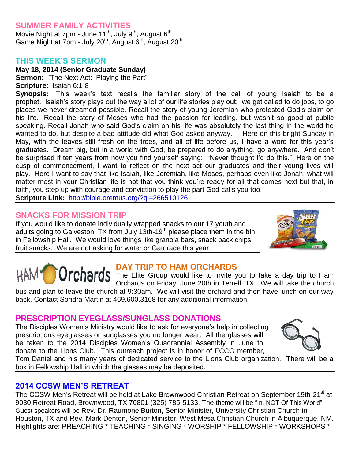## **SUMMER FAMILY ACTIVITIES**

Movie Night at 7pm - June 11<sup>th</sup>, July 9<sup>th</sup>, August 6<sup>th</sup> Game Night at 7pm - July 20<sup>th</sup>, August 6<sup>th</sup>, August 20<sup>th</sup>

#### **THIS WEEK'S SERMON**

**May 18, 2014 (Senior Graduate Sunday)** 

**Sermon:** "The Next Act: Playing the Part" **Scripture:** Isaiah 6:1-8

**Synopsis:** This week's text recalls the familiar story of the call of young Isaiah to be a prophet. Isaiah's story plays out the way a lot of our life stories play out: we get called to do jobs, to go places we never dreamed possible. Recall the story of young Jeremiah who protested God's claim on his life. Recall the story of Moses who had the passion for leading, but wasn't so good at public speaking. Recall Jonah who said God's claim on his life was absolutely the last thing in the world he wanted to do, but despite a bad attitude did what God asked anyway. Here on this bright Sunday in May, with the leaves still fresh on the trees, and all of life before us, I have a word for this year's graduates. Dream big, but in a world with God, be prepared to do anything, go anywhere. And don't be surprised if ten years from now you find yourself saying: "Never thought I'd do this." Here on the cusp of commencement, I want to reflect on the next act our graduates and their young lives will play. Here I want to say that like Isaiah, like Jeremiah, like Moses, perhaps even like Jonah, what will matter most in your Christian life is not that you think you're ready for all that comes next but that, in faith, you step up with courage and conviction to play the part God calls you too.

**Scripture Link:** <http://bible.oremus.org/?ql=266510126>

# **SNACKS FOR MISSION TRIP**

If you would like to donate individually wrapped snacks to our 17 youth and adults going to Galveston, TX from July  $13th-19<sup>th</sup>$  please place them in the bin in Fellowship Hall. We would love things like granola bars, snack pack chips, fruit snacks. We are not asking for water or Gatorade this year.



## **DAY TRIP TO HAM ORCHARDS**

The Elite Group would like to invite you to take a day trip to Ham Orchards on Friday, June 20th in Terrell, TX. We will take the church

bus and plan to leave the church at 9:30am. We will visit the orchard and then have lunch on our way back. Contact Sondra Martin at 469.600.3168 for any additional information.

## **PRESCRIPTION EYEGLASS/SUNGLASS DONATIONS**

The Disciples Women's Ministry would like to ask for everyone's help in collecting prescriptions eyeglasses or sunglasses you no longer wear. All the glasses will be taken to the 2014 Disciples Women's Quadrennial Assembly in June to donate to the Lions Club. This outreach project is in honor of FCCG member,



Tom Daniel and his many years of dedicated service to the Lions Club organization. There will be a box in Fellowship Hall in which the glasses may be deposited.

## **2014 CCSW MEN'S RETREAT**

The CCSW Men's Retreat will be held at Lake Brownwood Christian Retreat on September 19th-21<sup>st</sup> at 9030 Retreat Road, Brownwood, TX 76801 (325) 785-5133. The theme will be "In, NOT Of This World". Guest speakers will be Rev. Dr. Raumone Burton, Senior Minister, University Christian Church in Houston, TX and Rev. Mark Denton, Senior Minister, West Mesa Christian Church in Albuquerque, NM. Highlights are: PREACHING \* TEACHING \* SINGING \* WORSHIP \* FELLOWSHIP \* WORKSHOPS \*